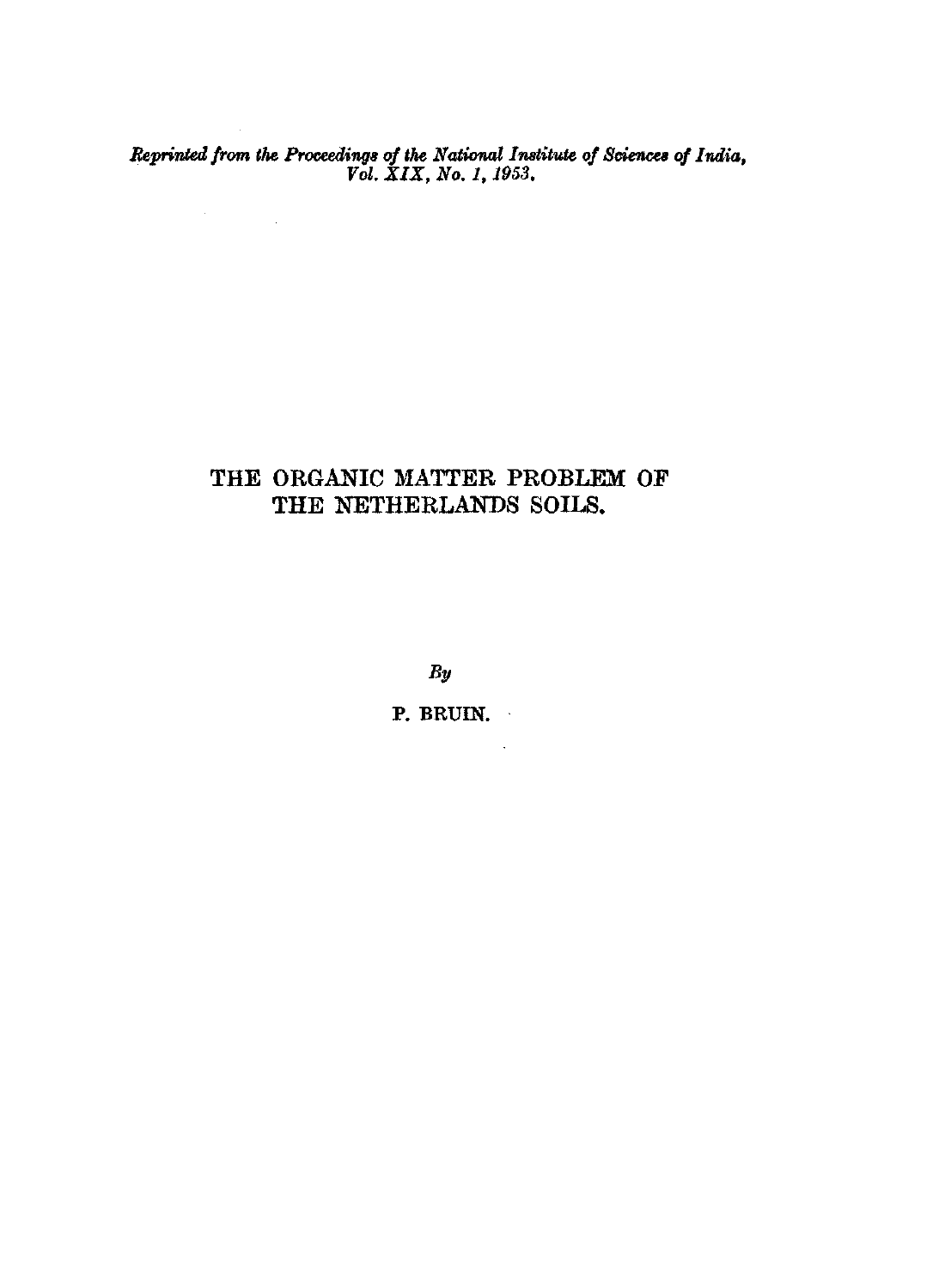*Reprinted from the Proceedings of the National Institute of Sciences of India, Vol. XIX, No. 1,1953.* 

 $\label{eq:2.1} \frac{d\mathbf{r}}{d\mathbf{r}} = \frac{1}{\sqrt{2\pi}}\left(\frac{d\mathbf{r}}{d\mathbf{r}}\right)^2.$ 

## THE ORGANIC MATTER PROBLEM OF THE NETHERLANDS SOILS.

*By* 

P. BRUIN.

 $\mathcal{L}^{\text{max}}$  and  $\mathcal{L}^{\text{max}}$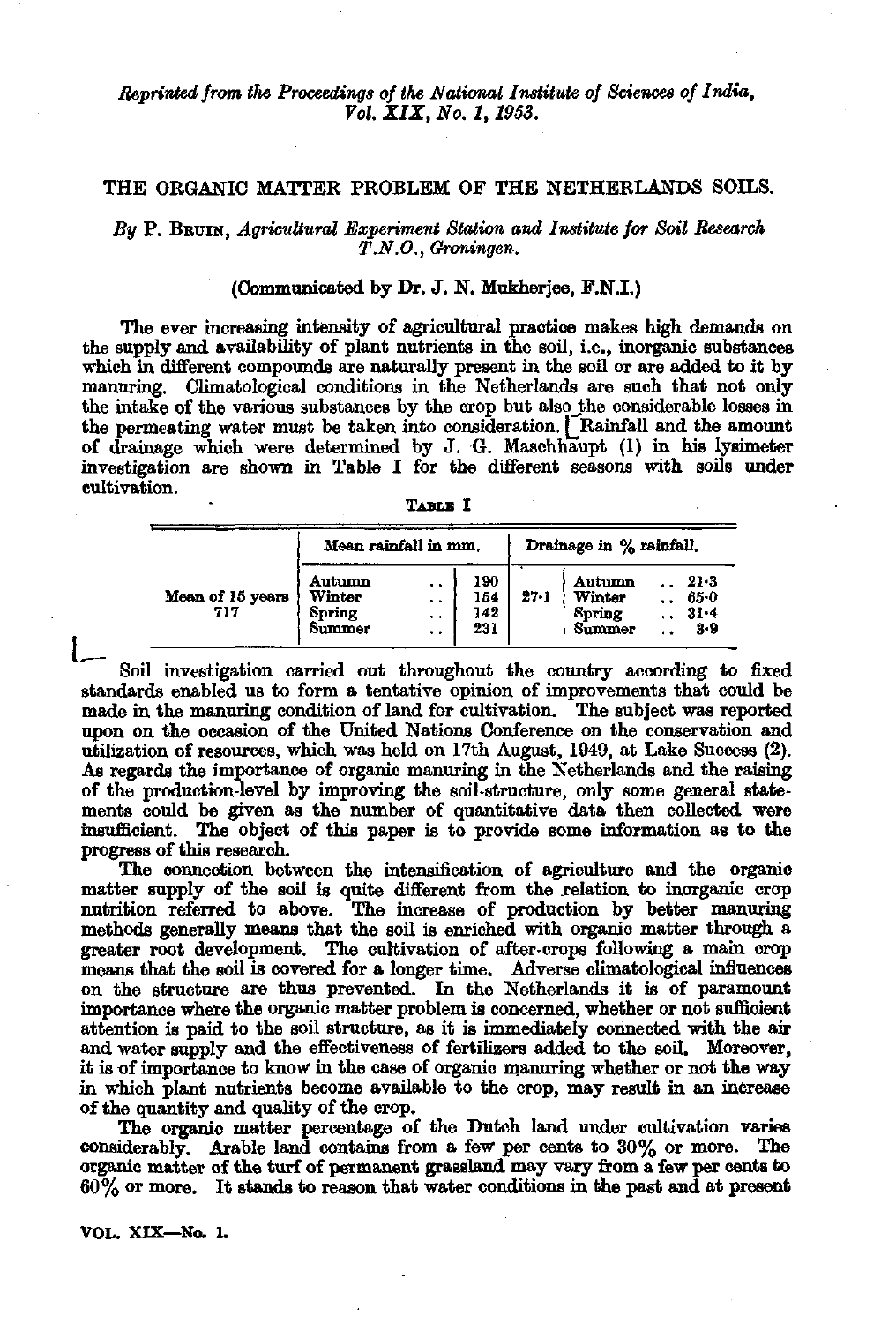*Reprinted from the Proceedings of the National Institute of Sciences of India, Vol. XIX, No. 1,1953.* 

## THE ORGANIC MATTER PROBLEM OF THE NETHERLANDS SOILS.

*By* P. BBUIN, *Agricultural Experiment Station and Institute for Soil Research T.N.O., Groningen.* 

## (Communicated by Dr. J. N. Mukherjee, F.N.I.)

The ever increasing intensity of agricultural practice makes high demands on the supply and availability of plant nutrients in the soil, i.e., inorganic substances which in different compounds are naturally present in the soil or are added to it by manuring. Climatological conditions in the Netherlands are such that not only the intake of the various substances by the crop but also\_the considerable losses in the permeating water must be taken into consideration. [Rainfall and the amount of drainage which were determined by J. G. Maschhaupt (1) in his lysimeter investigation are shown in Table I for the different seasons with soils under cultivation.

|                         | Mean rainfall in mm.                 |                          |                          | Drainage in % rainfall. |                                      |         |                                     |
|-------------------------|--------------------------------------|--------------------------|--------------------------|-------------------------|--------------------------------------|---------|-------------------------------------|
| Mean of 15 years<br>717 | Autumn<br>Winter<br>Spring<br>Summer | . .<br>. .<br>. .<br>. . | 190<br>154<br>142<br>231 | $27 - 1$                | Autumn<br>Winter<br>Spring<br>Summer | $\cdot$ | 21.3<br>$65 - 0$<br>$31 - 4$<br>3-9 |

 $\mathbf{l}$ Soil investigation carried out throughout the country according to fixed standards enabled us to form a tentative opinion of improvements that could be made in the manuring condition of land for cultivation. The subject was reported upon on the occasion of the United Nations Conference on the conservation and utilization of resources, which was held on 17th August, 1949, at Lake Success (2). As regards the importance of organic manuring in the Netherlands and the raising of the production-level by improving the soil-structure, only some general statements could be given as the number of quantitative data then collected were insufficient. The object of this paper is to provide some information as to the progress of this research.

The connection between the intensification of agriculture and the organic matter supply of the soil is quite different from the relation to inorganic crop nutrition referred to above. The increase of production by better manuring methods generally means that the soil is enriched with organic matter through a greater root development. The cultivation of after-crops following a main crop means that the soil is covered for a longer time. Adverse climatological influences on the structure are thus prevented. In the Netherlands it is of paramount importance where the organic matter problem is concerned, whether or not sufficient attention is paid to the soil structure, as it is immediately connected with the air and water supply and the effectiveness of fertilizers added to the soil. Moreover, it is of importance to know in the case of organic manuring whether or not the way in which plant nutrients become available to the crop, may result in an increase of the quantity and quality of the crop.

The organio matter percentage of the Dutch land under cultivation varies considerably. Arable land contains from a few per cents to 30% or more. The organic matter of the turf of permanent grassland may vary from a few per cents to 60% or more. It stands to reason that water conditions in the past and at present

**VOL. XIX—No. 1.**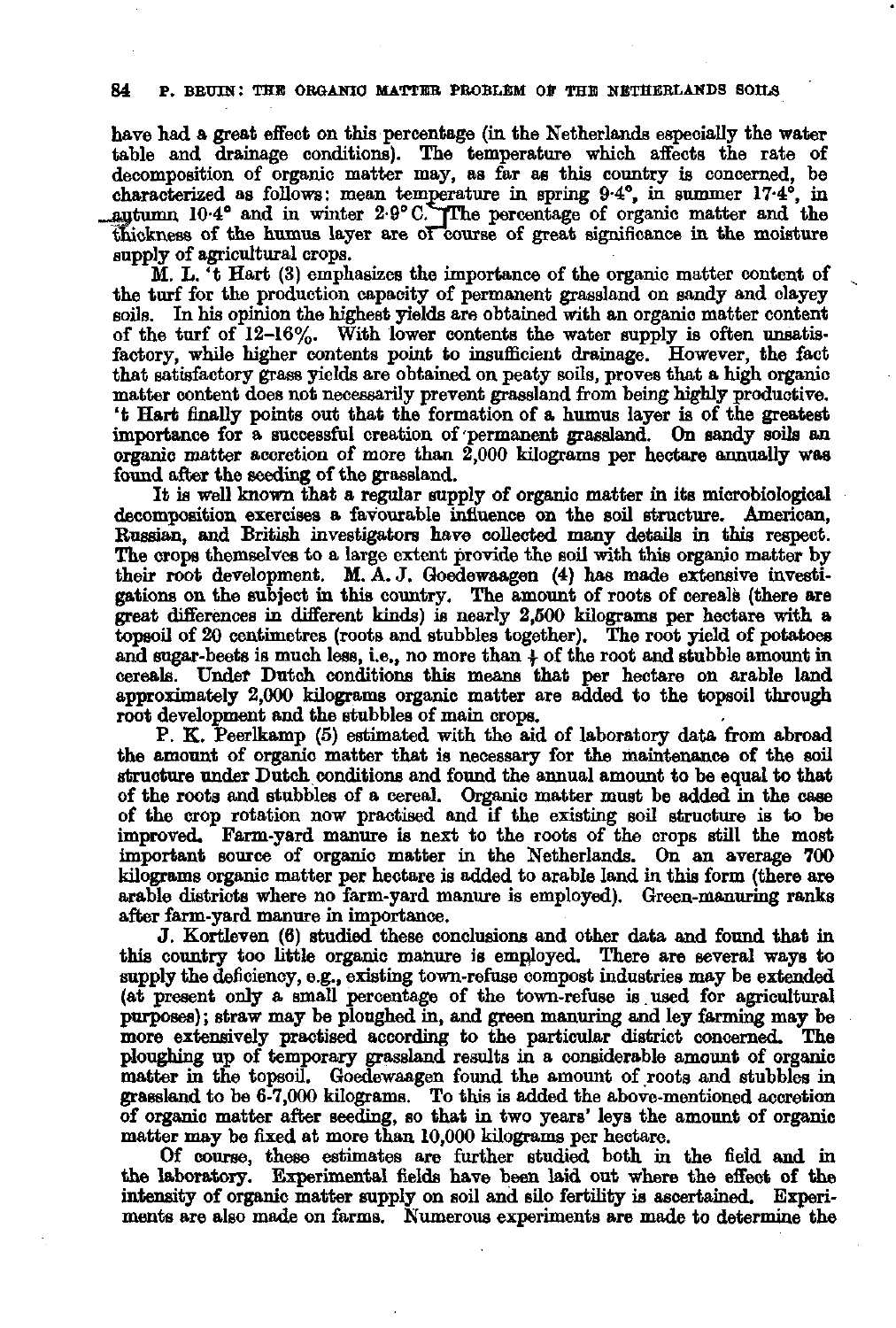have had a great effect on this percentage (in the Netherlands especially the water table and drainage conditions). The temperature which affects the rate of decomposition of organic matter may, as far as this country is concerned, be characterized as follows: mean temperature in spring 9.4°, in summer 17 $y$ tumn 10-4° and in winter  $2.9^{\circ}$  C. The percentage of organic matter and thickness of the humus layer are of course of great significance in the moisture supply of agricultural crops.

 $\tilde{M}$ . L. <sup> $\tilde{t}$ </sup> Hart (3) emphasizes the importance of the organic matter content of the turf for the production capacity of permanent grassland on sandy and clayey soils. In his opinion the highest yields are obtained with an organic matter content of the turf of 12-16%. With lower contents the water supply is often unsatisfactory, while higher contents point to insufficient drainage. However, the fact that satisfactory grass yields are obtained on peaty soils, proves that a high organic matter content does not necessarily prevent grassland from being highly productive, 't Hart finally points out that the formation of a humus layer is of the greatest importance for a successful creation of permanent grassland. On sandy soils an organic matter accretion of more than  $2,000$  kilograms per hectare annually was found after the seeding of the grassland.

It is well known that a regular supply of organic matter in its microbiological decomposition exercises a favourable influence on the soil structure. American, Russian, and British investigators have collected many details in this respect. The crops themselves to a large extent provide the soil with this organic matter by their root development. M. A. J. Goedewaagen (4) has made extensive investigations on the subject in this country. The amount of roots of cereals (there are great differences in different kinds) is nearly 2,500 kilograms per hectare with a topsoil of 20 centimetres (roots and stubbles together). The root yield of potatoes and sugar-beets is much less, i.e., no more than *\* of the root and stubble amount in cereals. Under Dutch conditions this means that per hectare on arable land approximately 2,000 kilograms organic matter are added to the topsoil through root development and the stubbles of main crops.

P. K. Peerlkamp (5) estimated with the aid of laboratory data from abroad the amount of organic matter that is necessary for the maintenance of the soil structure under Dutch conditions and found the annual amount to be equal to that of the roots and stubbles of a cereal. Organic matter must be added in the case of the crop rotation now practised and if the existing soil structure is to be improved. Farm-yard manure is next to the roots of the crops still the most important source of organio matter in the Netherlands. On an average 700 kilograms organic matter per hectare is added to arable land in this form (there are arable districts where no farm-yard manure is employed). Green-manuring ranks after farm-yard manure in importance.

J. Kortleven (6) studied these conclusions and other data and found that in this country too little organic manure is employed. There are several ways to supply the deficiency, e.g., existing town-refuse compost industries may be extended (at present only a small percentage of the town-refuse is.used for agricultural purposes) ; straw may be ploughed in, and green manuring and ley farming may be more extensively practised according to the particular district concerned. The ploughing up of temporary grassland results in a considerable amount of organic matter in the topsoil. Goedewaagen found the amount of roots and stubbles in grassland to be  $6-7,000$  kilograms. To this is added the above-mentioned acc of organic matter after seeding, so that in two years' leys the amount of matter may be fixed at more than 10,000 kilograms per hectare.

Of course, these estimates are further studied both in the field and in the laboratory. Experimental fields have been laid out where the effect of the intensity of organic matter supply on soil and silo fertility is ascertained. Experiments are also made on farms. Numerous experiments are made to determine the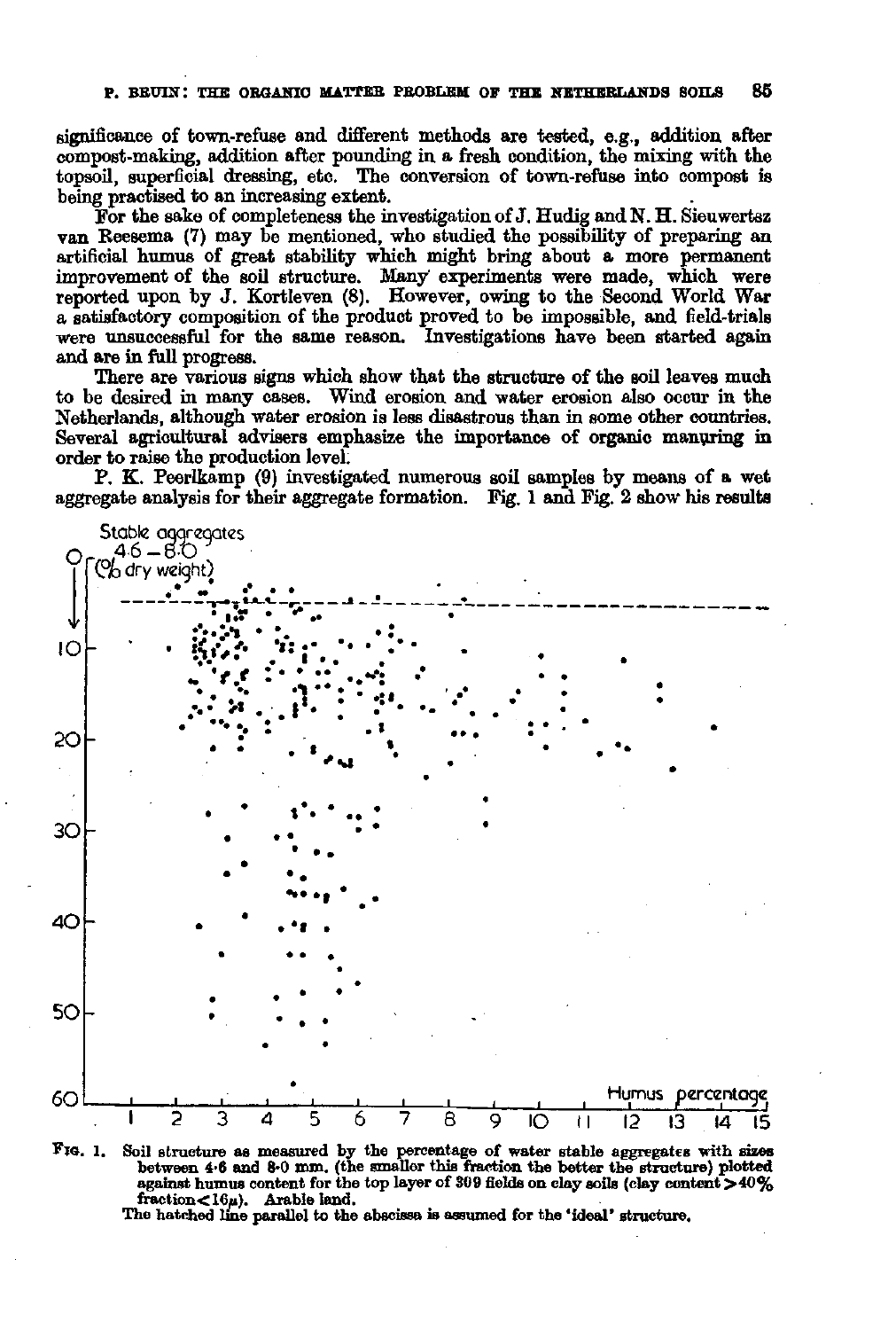significance of town-refuse and different methods are tested, e.g., addition after compost-making, addition after pounding in a fresh condition, the mixing with the topsoil, superficial dressing, etc. The conversion of town-refuse into compost is being practised to an increasing extent.

For the sake of completeness the investigation of J. Hudig andN. H. Sieuwertsz van Reesema (7) may be mentioned, who studied the possibility of preparing an artificial humus of great stability which might bring about a more permanent improvement of the soil structure. Many' experiments were made, which were reported upon by J. Kortleven (8). However, owing to the Second World War a satisfactory composition of the product proved to be impossible, and field-trials were unsuccessful for the same reason. Investigations have been started again and are in full progress.

There are various signs which show that the structure of the soil leaves much to be desired in many cases. Wind erosion and water erosion also occur in the Netherlands, although water erosion is less disastrous than in some other countries. Several agricultural advisers emphasize the importance of organic manuring in order to raise the production level.

P. K. Peerlkamp (9) investigated numerous soil samples by means of a wet aggregate analysis for their aggregate formation. Fig. 1 and Fig. 2 show his results





The hatched line parallel to the abscissa is assumed for the 'ideal' structure.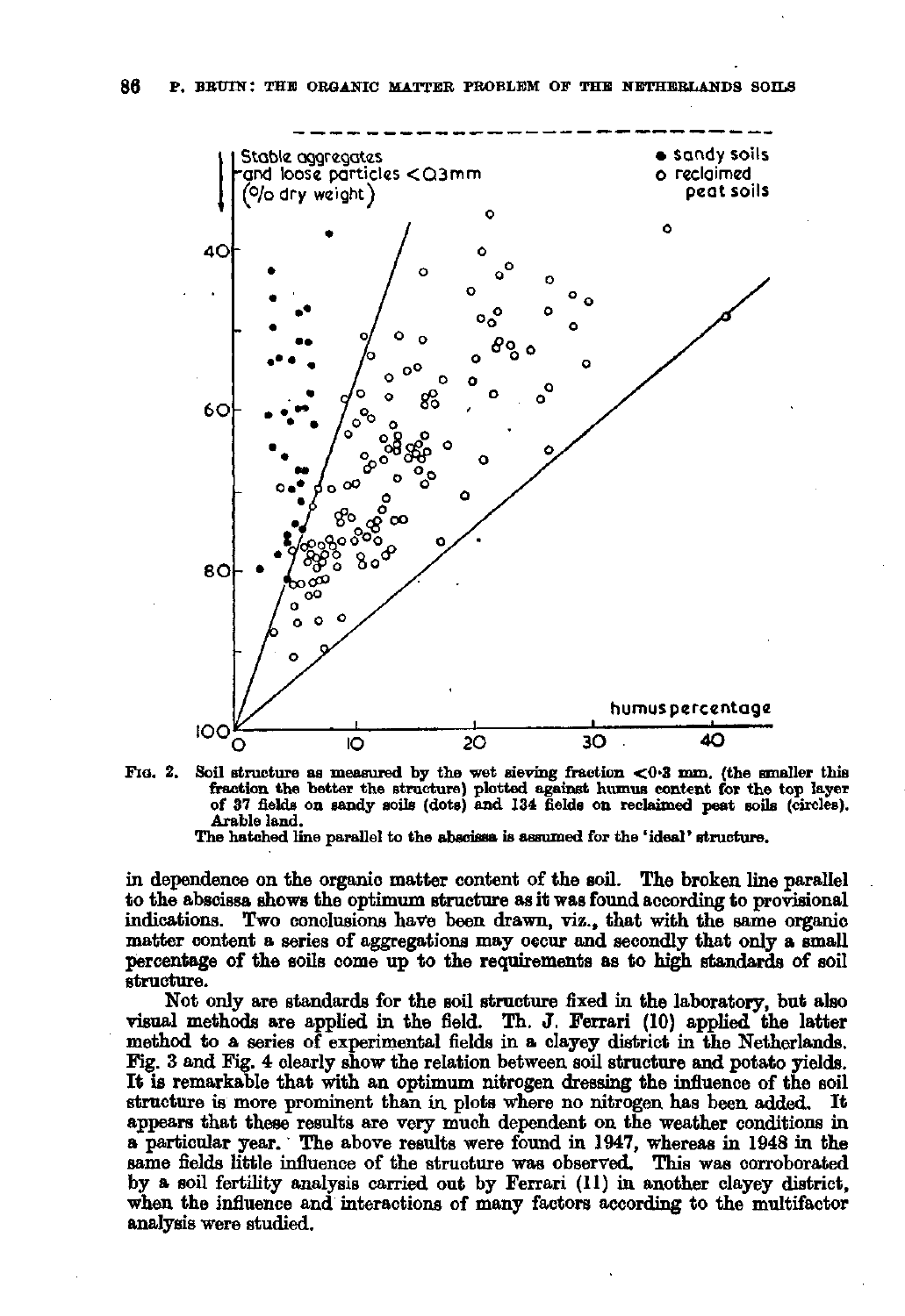



The hatched line parallel to the abscissa is assumed for the 'ideal' structure.

in dependence on the organic matter content of the soil. The broken line parallel to the abscissa shows the optimum structure as it was found according to provisional indications. Two conclusions have been drawn, viz., that with the same organic matter content a series of aggregations may occur and secondly that only a small percentage of the soils come up to the requirements as to high standards of soil structure.

Not only are standards for the soil structure fixed in the laboratory, but also visual methods are applied in the field. Th. J. Ferrari (10) applied the latter method to a series of experimental fields in a clayey district in the Netherlands. Fig. 3 and Fig. 4 clearly snow the relation between soil structure and potato yields. It is remarkable that with an optimum nitrogen dressing the influence of the soil structure is more prominent than in plots where no nitrogen has been added. It appears that these results are very much dependent on the weather conditions in a particular year. The above results were found in 1947, whereas in 1948 in the same fields little influence of the structure was observed. This was corroborated by a soil fertility analysis carried out by Ferrari (11) in another clayey district, when the influence and interactions of many factors according to the multifactor analysis were studied.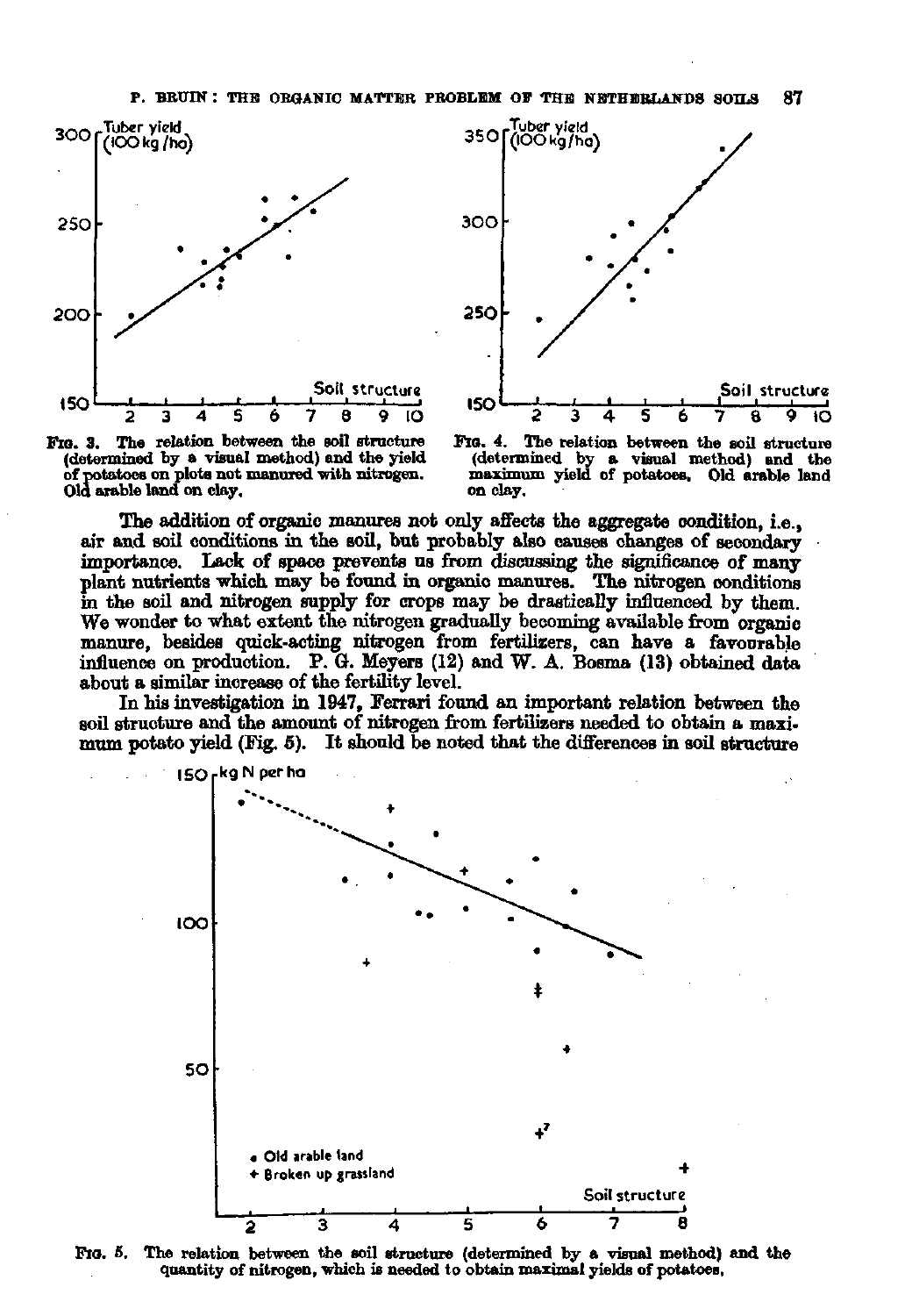





**FIG. 4. The relation between the soil structure (determined by a visual method) and the maximum yield of potatoes. Old arable land on clay.** 

The addition of organic manures not only affects the aggregate condition, i.e., air and soil conditions in the soil, but probably also causes changes of secondary importance. Lack of space prevents us from discussing the significance of many plant nutrients which may be found in organic manures. The nitrogen conditions in the soil and nitrogen supply for crops may be drastically influenced by them. We wonder to What extent the nitrogen gradually becoming available from organic manure, besides quick-acting nitrogen from fertilizers, can have a favourable influence on production. P. 6. Meyers (12) and W. A. Bosma (13) obtained data about a similar increase of the fertility level.

In his investigation in 1947, Ferrari found an important relation between the soil structure and the amount of nitrogen from fertilizers needed to obtain a maximum potato yield (Fig. 5). It should be noted that the differences in soil structure



**Fio. 6. The relation between the soil structure (determined by a visual method) and the quantity of nitrogen, which is needed to obtain maximal yields of potatoes.**